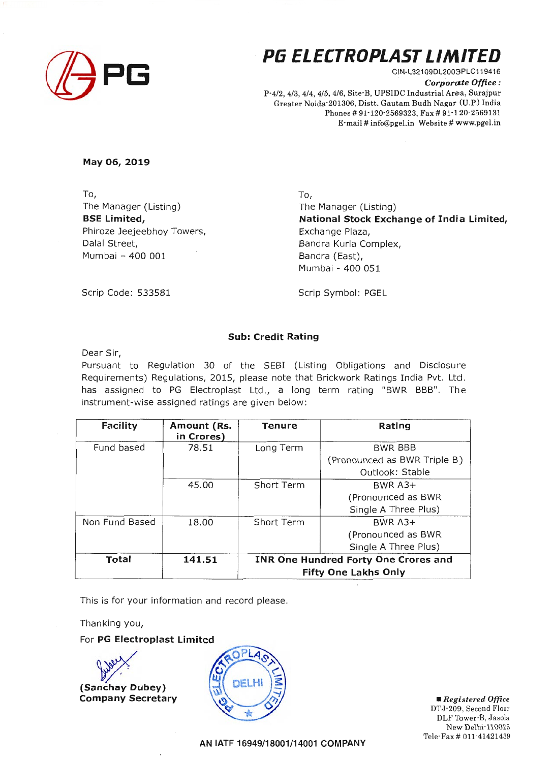

# **P6 ELECTROPLAST LINIITED**

CIN-L321 09DL2003PLC119416 *Corporate Office :*  P-4/2, 4/3, 4/4, 4/5, 4/6, Site-B, UPSIDC Industrial Area, Surajpur Greater Noida-201306, Distt. Gautam Budh Nagar (U.P.) India Phones# 91-120-2569323, Fax# 91-120-2569131 E-mail# info@pgel.in Website# www.pgel.in

**May 06, 2019** 

To, The Manager (Listing) **BSE Limited,**  Phiroze Jeejeebhoy Towers, Dalal Street, Mumbai - 400 001

To, The Manager (Listing) **National Stock Exchange of India Limited,**  Exchange Plaza, Bandra Kurla Complex, Bandra (East), Mumbai - 400 051

Scrip Code: 533581

Scrip Symbol: PGEL

### **Sub: Credit Rating**

Dear Sir,

Pursuant to Regulation 30 of the SEBI (Listing Obligations and Disclosure Requirements) Regulations, 2015, please note that Brickwork Ratings India Pvt. Ltd. has assigned to PG Electroplast Ltd., a long term rating "BWR BBB". The instrument-wise assigned ratings are given below:

| <b>Facility</b> | Amount (Rs.<br>in Crores) | Tenure                                      | Rating                       |
|-----------------|---------------------------|---------------------------------------------|------------------------------|
| Fund based      | 78.51                     | Long Term                                   | <b>BWR BBB</b>               |
|                 |                           |                                             | (Pronounced as BWR Triple B) |
|                 |                           |                                             | Outlook: Stable              |
|                 | 45.00                     | Short Term                                  | BWR $A3+$                    |
|                 |                           |                                             | (Pronounced as BWR           |
|                 |                           |                                             | Single A Three Plus)         |
| Non Fund Based  | 18.00                     | Short Term                                  | BWR $A3+$                    |
|                 |                           |                                             | (Pronounced as BWR           |
|                 |                           |                                             | Single A Three Plus)         |
| Total           | 141.51                    | <b>INR One Hundred Forty One Crores and</b> |                              |
|                 |                           | <b>Fifty One Lakhs Only</b>                 |                              |

This is for your information and record please.

Thanking you,

#### For PG Electroplast Limited

# **(Sanchay Dubey) Company Secretary** 



• *Registered Office*  DTJ-209, Second Floor DLF Tower-B, Jasola New Delhi-110025 Tele-Fax# Oll·41421439

**AN IATF 16949/18001/14001 COMPANY**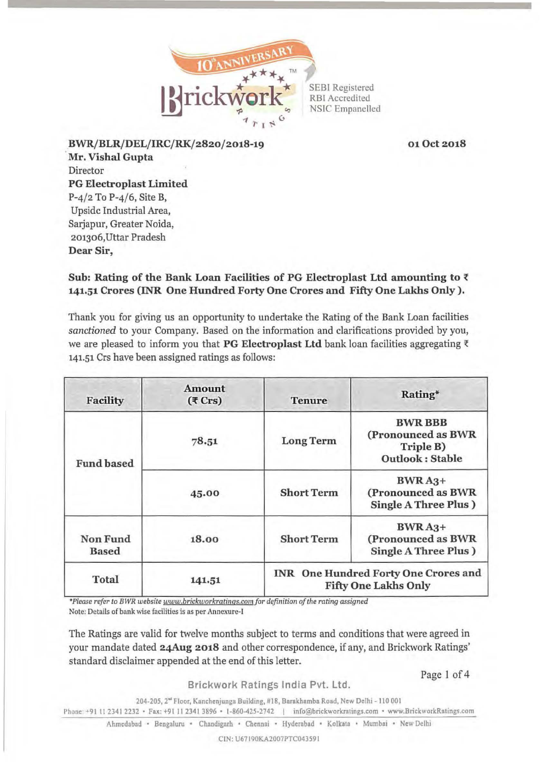

010ct2018

BWR/BLR/DEL/IRC/RK/2820/2018-19 Mr. Vishal Gupta Director PG Electroplast Limited P-4/2 To P-4/6, Site B, Upside Industrial Area, Sarjapur, Greater Noida, 201306,Uttar Pradesh Dear Sir,

# Sub: Rating of the Bank Loan Facilities of PG Electroplast Ltd amounting to  $\bar{\tau}$ 141.51 Crores (INR One Hundred Forty One Crores and Fifty One Lakhs Only).

Thank you for giving us an opportunity to undertake the Rating of the Bank Loan facilities *sanctioned* to your Company. Based on the information and clarifications provided by you, we are pleased to inform you that PG Electroplast Ltd bank loan facilities aggregating  $\bar{\tau}$ 141.51 Crs have been assigned ratings as follows:

| Facility                        | <b>Amount</b><br>$(5 \text{ Crs})$ | <b>Tenure</b>     | Rating*                                                                     |
|---------------------------------|------------------------------------|-------------------|-----------------------------------------------------------------------------|
| <b>Fund based</b>               | 78.51                              | <b>Long Term</b>  | <b>BWR BBB</b><br>(Pronounced as BWR<br>Triple B)<br><b>Outlook: Stable</b> |
|                                 | 45.00                              | <b>Short Term</b> | $BWRA3+$<br>(Pronounced as BWR<br>Single A Three Plus)                      |
| <b>Non Fund</b><br><b>Based</b> | 18.00                              | <b>Short Term</b> | $BWRA3+$<br>(Pronounced as BWR<br>Single A Three Plus)                      |
| <b>Total</b>                    | 141.51                             |                   | <b>INR</b> One Hundred Forty One Crores and<br><b>Fifty One Lakhs Only</b>  |

\*Please refer to BWR website www.brickworkratings.com for definition of the rating assigned Note: Details of bank wise facilities is as per Annexure-I

The Ratings are valid for twelve months subject to terms and conditions that were agreed in your mandate dated 24Aug 2018 and other correspondence, if any, and Brickwork Ratings' standard disclaimer appended at the end of this letter.

Page 1 of 4

Brickwork Ratings India Pvt. Ltd.

204-205, 2<sup>a</sup> Floor, Kanchenjunga Building, #18, Barakhamba Road, New Delhi - 110 001 l'hone +91 II 2341 2232 • Fnx: +91 II 2341 3896 • 1-860-425-2742 1 info@brickworkrntings.com • www.BrickworkRatmgs.com

Ahmedabad • Bengaluru • Chandigarh • Chennai • Hyderabad • Kolkata • Mumbai • New Delhi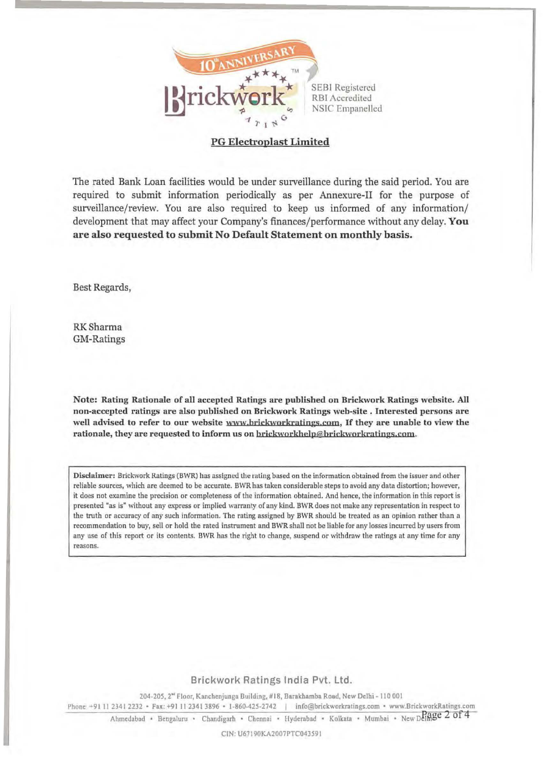

## PG Electroplast Limited

The rated Bank Loan facilities would be under surveillance during the said period. You are required to submit information periodically as per Annexure-II for the purpose of surveillance/review. You are also required to keep us informed of any information/ development that may affect your Company's finances/performance without any delay. You are also requested to submit No Default Statement on monthly basis.

Best Regards,

RKSharma GM-Ratings

Note: Rating Rationale of all accepted Ratings are published on Brickwork Ratings website. All non-accepted ratings are also published on Brickwork Ratings web-site • Interested persons are well advised to refer to our website www.brickworkratings.com, If they are unable to view the rationale, they are requested to inform us on brickworkhelp@brickworkratings.com.

Disclaimer: Brickwork Katings (BWR) has assigned the rating based on the information obtained from the issuer and other reliable sources, which are deemed to be accurate. BWR has taken considerable steps to avoid any data distortion; however, it does not examine the precision or completeness of the information obtained. And hence, the information in this report is presented "as is" without any express or implied warranty of any kind. BWR does not make any representation in respect to the truth or accuracy of any such information. The rating assigned by BWR should be treated as an opinion rather than a recommendation to buy, sell or hold the rated instrument and BWR shall not be liable for any losses incurred by users from any use of this report or its contents. BWR has the right to change, suspend or withdraw the ratings at any time for any reasons.

### Brickwork Ratings India Pvt. Ltd.

204-205, 2<sup>\*</sup> Floor, Kanchenjunga Building, #18, Barakhamba Road, New Delhi - 110 001 Phone +91 11 2341 2232 • Fax: +91 11 2341 3896 • 1-860-425-2742 | info@brickworkratings.com • www.BrickworkRatings.com

Ahmedabad • Bengaluru • Chandigarh • Chennai • Hyderabad • Kolkata • Mumbai • New Delmge 2 of 4

CIN: U67190KA2007PTC04J591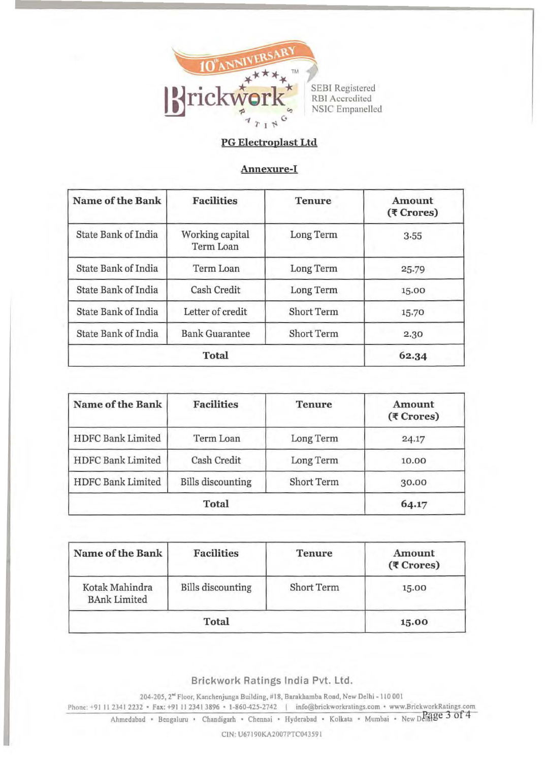

# PG Electroplast Ltd

## Annexure-I

| Name of the Bank           | <b>Facilities</b>            | <b>Tenure</b>     | Amount<br>$(5$ Crores) |
|----------------------------|------------------------------|-------------------|------------------------|
| State Bank of India        | Working capital<br>Term Loan | Long Term         | 3.55                   |
| <b>State Bank of India</b> | Term Loan                    | Long Term         | 25.79                  |
| <b>State Bank of India</b> | Cash Credit                  | Long Term         | 15.00                  |
| <b>State Bank of India</b> | Letter of credit             | <b>Short Term</b> | 15.70                  |
| <b>State Bank of India</b> | <b>Bank Guarantee</b>        | Short Term        | 2.30                   |
| <b>Total</b>               |                              |                   | 62.34                  |

| Name of the Bank         | <b>Facilities</b>        | <b>Tenure</b>     | Amount<br>$(5$ Crores) |
|--------------------------|--------------------------|-------------------|------------------------|
| HDFC Bank Limited        | Term Loan                | Long Term         | 24.17                  |
| <b>HDFC Bank Limited</b> | Cash Credit              | Long Term         | 10.00                  |
| <b>HDFC Bank Limited</b> | <b>Bills</b> discounting | <b>Short Term</b> | 30.00                  |
| <b>Total</b>             |                          |                   | 64.17                  |

| Name of the Bank                      | <b>Facilities</b>        | <b>Tenure</b> | Amount<br>(₹ Crores) |
|---------------------------------------|--------------------------|---------------|----------------------|
| Kotak Mahindra<br><b>BAnk Limited</b> | <b>Bills</b> discounting | Short Term    | 15.00                |
| <b>Total</b>                          |                          |               | 15.00                |

Brickwork Ratings India Pvt. Ltd.

204-205, 2" Floor, Konchcnjungn Building, 1118, Barakhamba Road, New Delhi- 110 001

Phone: +91 11 2341 2232 · Fax: +91 11 2341 3896 · 1-860-425-2742 | info@brickworkratings.com · www.BrickworkRatings.com Ahmedabad • Bengaluru • Chandigarh • Chennai • Hyderabad • Kolkata • Mumbai • New Delinge 3 of 4

CIN: U67190KA2007PTC043591